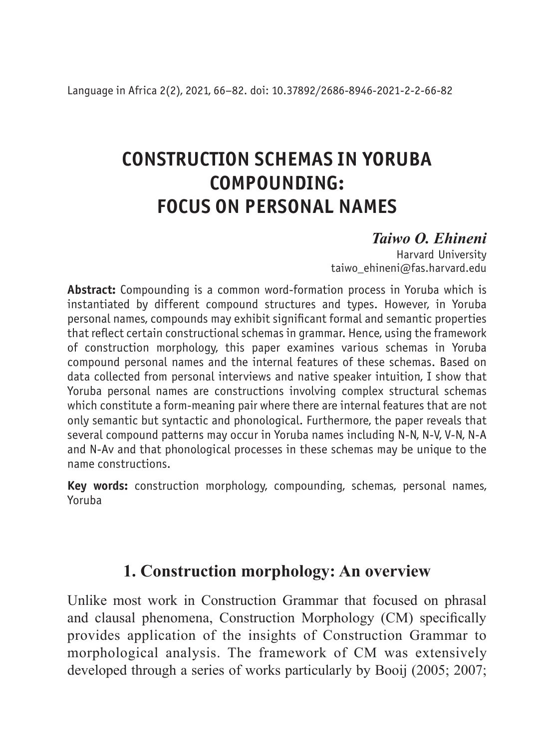# **CONSTRUCTION SCHEMAS IN YORUBA COMPOUNDING: FOCUS ON PERSONAL NAMES**

# *Taiwo O. Ehineni*

Harvard University taiwo ehineni@fas.harvard.edu

**Abstract:** Compounding is a common word-formation process in Yoruba which is instantiated by different compound structures and types. However, in Yoruba personal names, compounds may exhibit significant formal and semantic properties that reflect certain constructional schemas in grammar. Hence, using the framework of construction morphology, this paper examines various schemas in Yoruba compound personal names and the internal features of these schemas. Based on data collected from personal interviews and native speaker intuition, I show that Yoruba personal names are constructions involving complex structural schemas which constitute a form-meaning pair where there are internal features that are not only semantic but syntactic and phonological. Furthermore, the paper reveals that several compound patterns may occur in Yoruba names including N-N, N-V, V-N, N-A and N-Av and that phonological processes in these schemas may be unique to the name constructions.

**Key words:** construction morphology, compounding, schemas, personal names, Yoruba

# **1. Construction morphology: An overview**

Unlike most work in Construction Grammar that focused on phrasal and clausal phenomena, Construction Morphology (CM) specifically provides application of the insights of Construction Grammar to morphological analysis. The framework of CM was extensively developed through a series of works particularly by Booij (2005; 2007;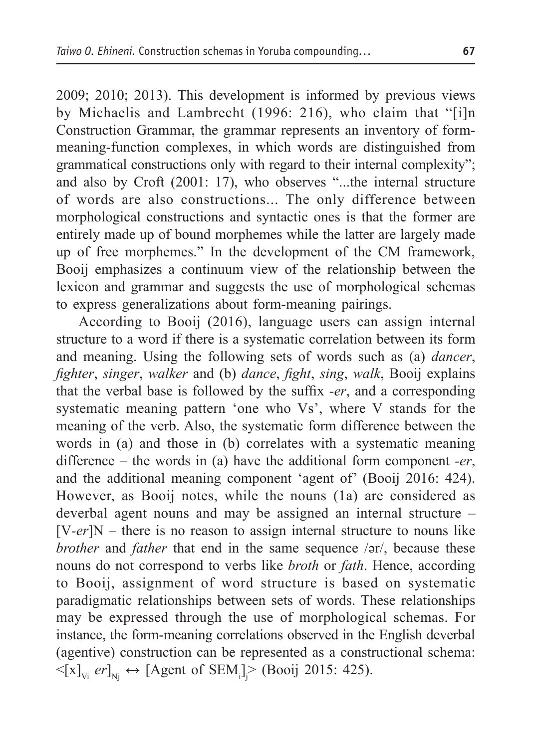2009; 2010; 2013). This development is informed by previous views by Michaelis and Lambrecht (1996: 216), who claim that "[i]n Construction Grammar, the grammar represents an inventory of formmeaning-function complexes, in which words are distinguished from grammatical constructions only with regard to their internal complexity"; and also by Croft (2001: 17), who observes "...the internal structure of words are also constructions... The only difference between morphological constructions and syntactic ones is that the former are entirely made up of bound morphemes while the latter are largely made up of free morphemes." In the development of the CM framework, Booij emphasizes a continuum view of the relationship between the lexicon and grammar and suggests the use of morphological schemas to express generalizations about form-meaning pairings.

According to Booij (2016), language users can assign internal structure to a word if there is a systematic correlation between its form and meaning. Using the following sets of words such as (a) *dancer*, *fighter*, *singer*, *walker* and (b) *dance*, *fight*, *sing*, *walk*, Booij explains that the verbal base is followed by the suffix *-er*, and a corresponding systematic meaning pattern 'one who Vs', where V stands for the meaning of the verb. Also, the systematic form difference between the words in (a) and those in (b) correlates with a systematic meaning difference – the words in (a) have the additional form component *-er*, and the additional meaning component 'agent of' (Booij 2016: 424). However, as Booij notes, while the nouns (1a) are considered as deverbal agent nouns and may be assigned an internal structure – [V*-er*]N – there is no reason to assign internal structure to nouns like *brother* and *father* that end in the same sequence /ǝr/, because these nouns do not correspond to verbs like *broth* or *fath*. Hence, according to Booij, assignment of word structure is based on systematic paradigmatic relationships between sets of words. These relationships may be expressed through the use of morphological schemas. For instance, the form-meaning correlations observed in the English deverbal (agentive) construction can be represented as a constructional schema:  $\leq [x]_{V_i}$  *er*]<sub>Nj</sub>  $\leftrightarrow$  [Agent of SEM<sub>i</sub>] $>$  (Booij 2015: 425).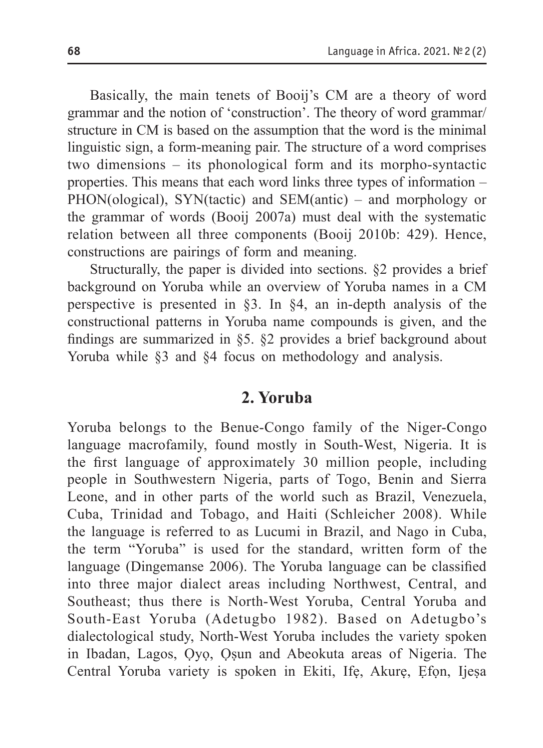Basically, the main tenets of Booij's CM are a theory of word grammar and the notion of 'construction'. The theory of word grammar/ structure in CM is based on the assumption that the word is the minimal linguistic sign, a form-meaning pair. The structure of a word comprises two dimensions – its phonological form and its morpho-syntactic properties. This means that each word links three types of information – PHON(ological), SYN(tactic) and SEM(antic) – and morphology or the grammar of words (Booij 2007a) must deal with the systematic relation between all three components (Booij 2010b: 429). Hence, constructions are pairings of form and meaning.

Structurally, the paper is divided into sections. §2 provides a brief background on Yoruba while an overview of Yoruba names in a CM perspective is presented in §3. In §4, an in-depth analysis of the constructional patterns in Yoruba name compounds is given, and the findings are summarized in §5. §2 provides a brief background about Yoruba while §3 and §4 focus on methodology and analysis.

### **2. Yoruba**

Yoruba belongs to the Benue-Congo family of the Niger-Congo language macrofamily, found mostly in South-West, Nigeria. It is the first language of approximately 30 million people, including people in Southwestern Nigeria, parts of Togo, Benin and Sierra Leone, and in other parts of the world such as Brazil, Venezuela, Cuba, Trinidad and Tobago, and Haiti (Schleicher 2008). While the language is referred to as Lucumi in Brazil, and Nago in Cuba, the term "Yoruba" is used for the standard, written form of the language (Dingemanse 2006). The Yoruba language can be classified into three major dialect areas including Northwest, Central, and Southeast; thus there is North-West Yoruba, Central Yoruba and South-East Yoruba (Adetugbo 1982). Based on Adetugbo's dialectological study, North-West Yoruba includes the variety spoken in Ibadan, Lagos, Ọyọ, Ọṣun and Abeokuta areas of Nigeria. The Central Yoruba variety is spoken in Ekiti, Ifẹ, Akurẹ, Ẹfọn, Ijeṣa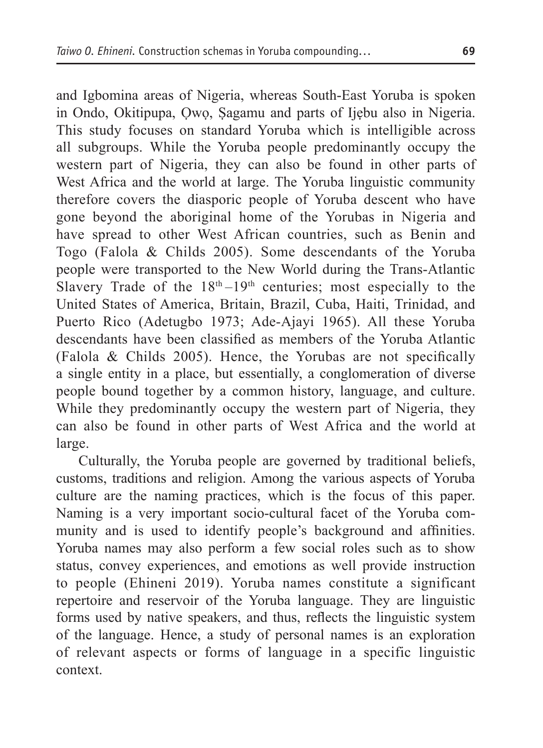and Igbomina areas of Nigeria, whereas South-East Yoruba is spoken in Ondo, Okitipupa, Ọwọ, Ṣagamu and parts of Ijẹbu also in Nigeria. This study focuses on standard Yoruba which is intelligible across all subgroups. While the Yoruba people predominantly occupy the western part of Nigeria, they can also be found in other parts of

West Africa and the world at large. The Yoruba linguistic community therefore covers the diasporic people of Yoruba descent who have gone beyond the aboriginal home of the Yorubas in Nigeria and have spread to other West African countries, such as Benin and Togo (Falola & Childs 2005). Some descendants of the Yoruba people were transported to the New World during the Trans-Atlantic Slavery Trade of the  $18<sup>th</sup>-19<sup>th</sup>$  centuries; most especially to the United States of America, Britain, Brazil, Cuba, Haiti, Trinidad, and Puerto Rico (Adetugbo 1973; Ade-Ajayi 1965). All these Yoruba descendants have been classified as members of the Yoruba Atlantic (Falola & Childs 2005). Hence, the Yorubas are not specifically a single entity in a place, but essentially, a conglomeration of diverse people bound together by a common history, language, and culture. While they predominantly occupy the western part of Nigeria, they can also be found in other parts of West Africa and the world at large.

Culturally, the Yoruba people are governed by traditional beliefs, customs, traditions and religion. Among the various aspects of Yoruba culture are the naming practices, which is the focus of this paper. Naming is a very important socio-cultural facet of the Yoruba community and is used to identify people's background and affinities. Yoruba names may also perform a few social roles such as to show status, convey experiences, and emotions as well provide instruction to people (Ehineni 2019). Yoruba names constitute a significant repertoire and reservoir of the Yoruba language. They are linguistic forms used by native speakers, and thus, reflects the linguistic system of the language. Hence, a study of personal names is an exploration of relevant aspects or forms of language in a specific linguistic context.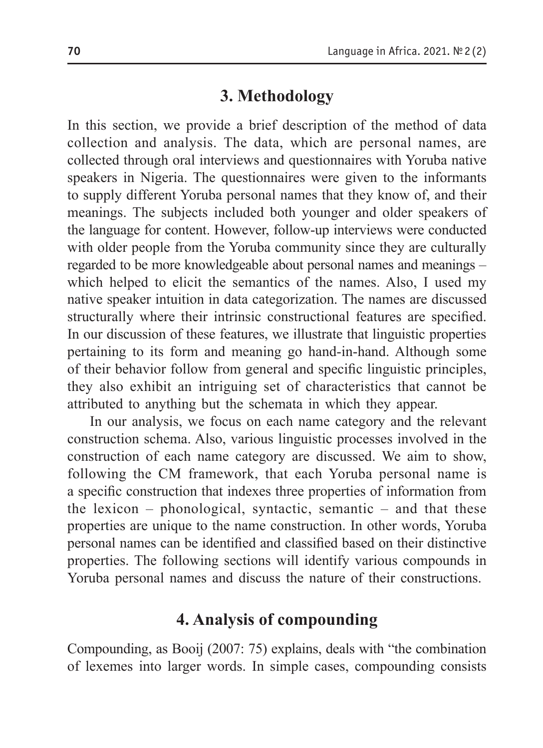# **3. Methodology**

In this section, we provide a brief description of the method of data collection and analysis. The data, which are personal names, are collected through oral interviews and questionnaires with Yoruba native speakers in Nigeria. The questionnaires were given to the informants to supply different Yoruba personal names that they know of, and their meanings. The subjects included both younger and older speakers of the language for content. However, follow-up interviews were conducted with older people from the Yoruba community since they are culturally regarded to be more knowledgeable about personal names and meanings – which helped to elicit the semantics of the names. Also, I used my native speaker intuition in data categorization. The names are discussed structurally where their intrinsic constructional features are specified. In our discussion of these features, we illustrate that linguistic properties pertaining to its form and meaning go hand-in-hand. Although some of their behavior follow from general and specific linguistic principles, they also exhibit an intriguing set of characteristics that cannot be attributed to anything but the schemata in which they appear.

In our analysis, we focus on each name category and the relevant construction schema. Also, various linguistic processes involved in the construction of each name category are discussed. We aim to show, following the CM framework, that each Yoruba personal name is a specific construction that indexes three properties of information from the lexicon – phonological, syntactic, semantic – and that these properties are unique to the name construction. In other words, Yoruba personal names can be identified and classified based on their distinctive properties. The following sections will identify various compounds in Yoruba personal names and discuss the nature of their constructions.

# **4. Analysis of сompounding**

Compounding, as Booij (2007: 75) explains, deals with "the combination of lexemes into larger words. In simple cases, compounding consists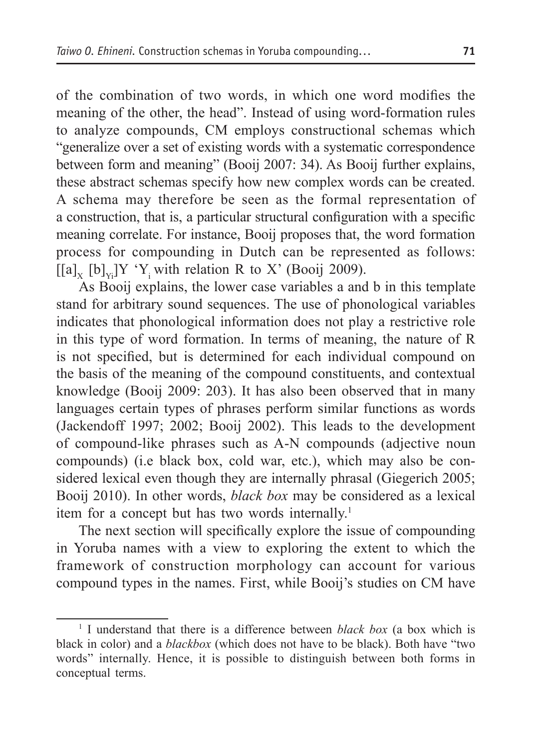of the combination of two words, in which one word modifies the meaning of the other, the head". Instead of using word-formation rules to analyze compounds, CM employs constructional schemas which "generalize over a set of existing words with a systematic correspondence between form and meaning" (Booij 2007: 34). As Booij further explains, these abstract schemas specify how new complex words can be created. A schema may therefore be seen as the formal representation of a construction, that is, a particular structural configuration with a specific meaning correlate. For instance, Booij proposes that, the word formation process for compounding in Dutch can be represented as follows:  $[[a]_{y} [b]_{y}$ ]Y 'Y<sub>i</sub> with relation R to X' (Booij 2009).

As Booij explains, the lower case variables a and b in this template stand for arbitrary sound sequences. The use of phonological variables indicates that phonological information does not play a restrictive role in this type of word formation. In terms of meaning, the nature of R is not specified, but is determined for each individual compound on the basis of the meaning of the compound constituents, and contextual knowledge (Booij 2009: 203). It has also been observed that in many languages certain types of phrases perform similar functions as words (Jackendoff 1997; 2002; Booij 2002). This leads to the development of compound-like phrases such as A-N compounds (adjective noun compounds) (i.e black box, cold war, etc.), which may also be considered lexical even though they are internally phrasal (Giegerich 2005; Booij 2010). In other words, *black box* may be considered as a lexical item for a concept but has two words internally.<sup>1</sup>

The next section will specifically explore the issue of compounding in Yoruba names with a view to exploring the extent to which the framework of construction morphology can account for various compound types in the names. First, while Booij's studies on CM have

<sup>1</sup> I understand that there is a difference between *black box* (a box which is black in color) and a *blackbox* (which does not have to be black). Both have "two words" internally. Hence, it is possible to distinguish between both forms in conceptual terms.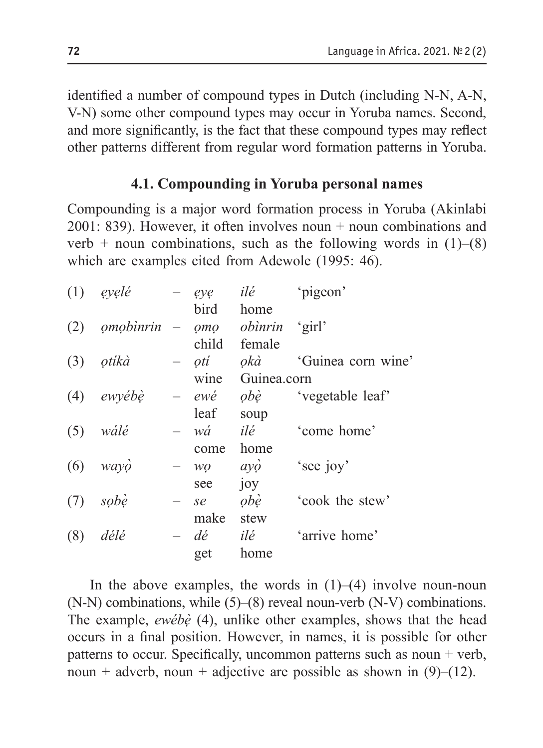identified a number of compound types in Dutch (including N-N, A-N, V-N) some other compound types may occur in Yoruba names. Second, and more significantly, is the fact that these compound types may reflect other patterns different from regular word formation patterns in Yoruba.

#### **4.1. Compounding in Yoruba personal names**

Compounding is a major word formation process in Yoruba (Akinlabi  $2001: 839$ ). However, it often involves noun + noun combinations and verb + noun combinations, such as the following words in  $(1)$ – $(8)$ which are examples cited from Adewole (1995: 46).

| (1) | eyelé     |                          | eye          | ilé                | 'pigeon'           |
|-----|-----------|--------------------------|--------------|--------------------|--------------------|
|     |           |                          | bird         | home               |                    |
| (2) | omobinrin | $\qquad \qquad -$        | QMO          | obìnrin            | 'girl'             |
|     |           |                          | child        | female             |                    |
| (3) | otíkà     | $\overline{\phantom{0}}$ | otí          | okà                | 'Guinea corn wine' |
|     |           |                          | wine         | Guinea.corn        |                    |
| (4) | ewyébè    |                          | $-$ ewé      | obè                | 'vegetable leaf'   |
|     |           |                          | leaf         | soup               |                    |
| (5) | wálé      |                          | wá           | ilé                | 'come home'        |
|     |           |                          | come         | home               |                    |
| (6) | wayo      |                          | WO           | $\alpha y \dot{o}$ | 'see joy'          |
|     |           |                          | see          | joy                |                    |
| (7) | sobè      |                          | se           | obè                | 'cook the stew'    |
|     |           |                          | make         | stew               |                    |
| (8) | délé      | $\overline{\phantom{0}}$ | $d\acute{e}$ | ilé                | 'arrive home'      |
|     |           |                          | get          | home               |                    |

In the above examples, the words in  $(1)$ – $(4)$  involve noun-noun (N-N) combinations, while (5)–(8) reveal noun-verb (N-V) combinations. The example, *ewébẹ̀* (4), unlike other examples, shows that the head occurs in a final position. However, in names, it is possible for other patterns to occur. Specifically, uncommon patterns such as noun + verb, noun + adverb, noun + adjective are possible as shown in  $(9)$ – $(12)$ .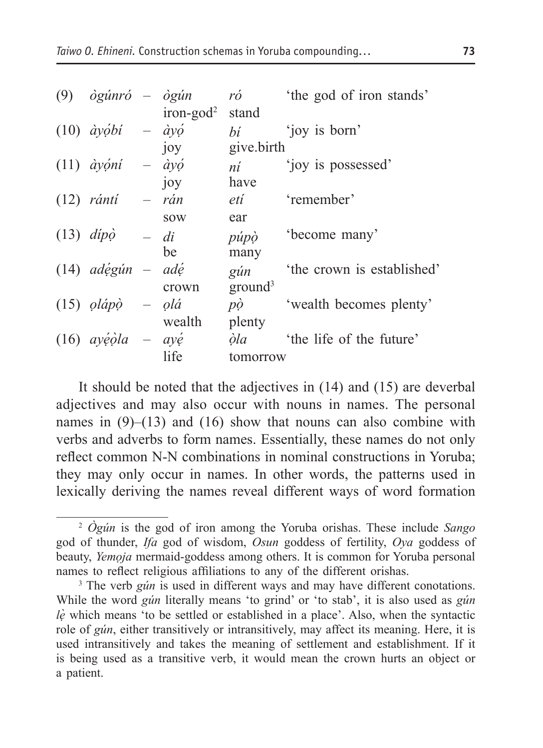| (9) | ògúnró – ògún                    |                          | ró                  | 'the god of iron stands'   |
|-----|----------------------------------|--------------------------|---------------------|----------------------------|
|     |                                  | $iron$ -god <sup>2</sup> | stand               |                            |
|     | $(10)$ ayobi                     | $ \partial y \phi$       | bí                  | 'joy is born'              |
|     |                                  | 10 <sub>V</sub>          | give.birth          |                            |
|     | $(11)$ <i>àyọni</i>              | $ \partial y \phi$       | ní                  | 'joy is possessed'         |
|     |                                  | joy                      | have                |                            |
|     | $(12)$ rántí                     | $- rán$                  | etí                 | 'remember'                 |
|     |                                  | <b>SOW</b>               | ear                 |                            |
|     | $(13)$ dipò                      | $- di$                   | púpò                | 'become many'              |
|     |                                  | be                       | many                |                            |
|     | $(14)$ adégún – adé              |                          | gún                 | 'the crown is established' |
|     |                                  | crown                    | ground <sup>3</sup> |                            |
|     | $(15)$ <i>olápo</i> – <i>olá</i> |                          | $p\dot{\rho}$       | 'wealth becomes plenty'    |
|     |                                  | wealth                   | plenty              |                            |
|     | $(16)$ ayéola – ayé              |                          | òla                 | 'the life of the future'   |
|     |                                  | life                     | tomorrow            |                            |
|     |                                  |                          |                     |                            |

It should be noted that the adjectives in (14) and (15) are deverbal adjectives and may also occur with nouns in names. The personal names in  $(9)$ – $(13)$  and  $(16)$  show that nouns can also combine with verbs and adverbs to form names. Essentially, these names do not only reflect common N-N combinations in nominal constructions in Yoruba; they may only occur in names. In other words, the patterns used in lexically deriving the names reveal different ways of word formation

<sup>2</sup> *Ògún* is the god of iron among the Yoruba orishas. These include *Sango* god of thunder, *Ifa* god of wisdom, *Osun* goddess of fertility, *Oya* goddess of beauty, *Yemọja* mermaid-goddess among others. It is common for Yoruba personal names to reflect religious affiliations to any of the different orishas.

<sup>&</sup>lt;sup>3</sup> The verb *gún* is used in different ways and may have different conotations. While the word *gún* literally means 'to grind' or 'to stab', it is also used as *gún lẹ̀* which means 'to be settled or established in a place'. Also, when the syntactic role of *gún*, either transitively or intransitively, may affect its meaning. Here, it is used intransitively and takes the meaning of settlement and establishment. If it is being used as a transitive verb, it would mean the crown hurts an object or a patient.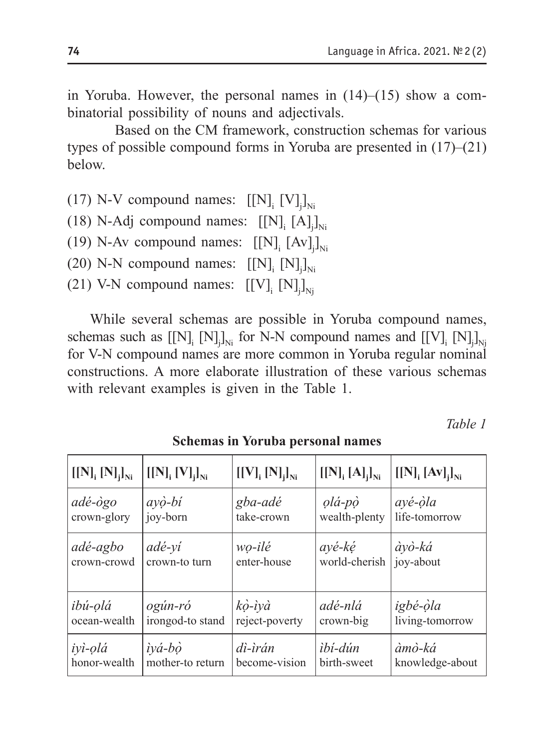in Yoruba. However, the personal names in (14)–(15) show a combinatorial possibility of nouns and adjectivals.

Based on the CM framework, construction schemas for various types of possible compound forms in Yoruba are presented in (17)–(21) below.

(17) N-V compound names:  $[[N]_{i} [V]_{j}]_{N}$ 

(18) N-Adj compound names:  $[[N]_i [A]_j]_{Ni}$ 

(19) N-Av compound names:  $[[N]_i [Av]_j]_{Ni}$ 

(20) N-N compound names:  $[[N]_{i} [N]_{j}]_{N}$ 

(21) V-N compound names:  $[[V]_{i} [N]_{j}]_{Nj}$ 

While several schemas are possible in Yoruba compound names, schemas such as  $[[N]$ <sub>i</sub>  $[N]$ <sub>j</sub>]<sub>Ni</sub> for N-N compound names and  $[[V]$ <sub>i</sub>  $[N]$ <sub>j</sub>]<sub>N<sub>j</sub></sub> for V-N compound names are more common in Yoruba regular nominal constructions. A more elaborate illustration of these various schemas with relevant examples is given in the Table 1.

*Table 1*

| $[[N]_{i} [N]_{i}]_{Ni}$                                      | $[[N]_{i} [V]_{i}]_{Ni}$ | $[[V]_{i} [N]_{i}]_{Ni}$                         | $[[N]_{i} [A]_{i}]_{Ni}$            | $[[N], [Av]_i]_{Ni}$        |  |
|---------------------------------------------------------------|--------------------------|--------------------------------------------------|-------------------------------------|-----------------------------|--|
| $ad\acute{e}$ - $\grave{o}$ go<br>crown-glory                 | $ay\^o-bi$<br>joy-born   | gba-adé<br>take-crown                            | $ola$ - $p\dot{o}$<br>wealth-plenty | ayé-òla<br>life-tomorrow    |  |
| adé-agbo<br>adé-yi<br>crown-crowd<br>crown-to turn            |                          | ayé-ké<br>wo-ilé<br>world-cherish<br>enter-house |                                     | àyò-ká<br>joy-about         |  |
| ibú-olá<br>ogún-ró<br>ocean-wealth<br>irongod-to stand        |                          | kò-ìyà<br>reject-poverty                         | adé-nlá<br>crown-big                | igbé-òla<br>living-tomorrow |  |
| $\dot{v}$ á-bò<br>iyì-olá<br>honor-wealth<br>mother-to return |                          | dì-ìrán<br>become-vision                         | <i>ibí-dún</i><br>birth-sweet       | àmò-ká<br>knowledge-about   |  |

**Schemas in Yoruba personal names**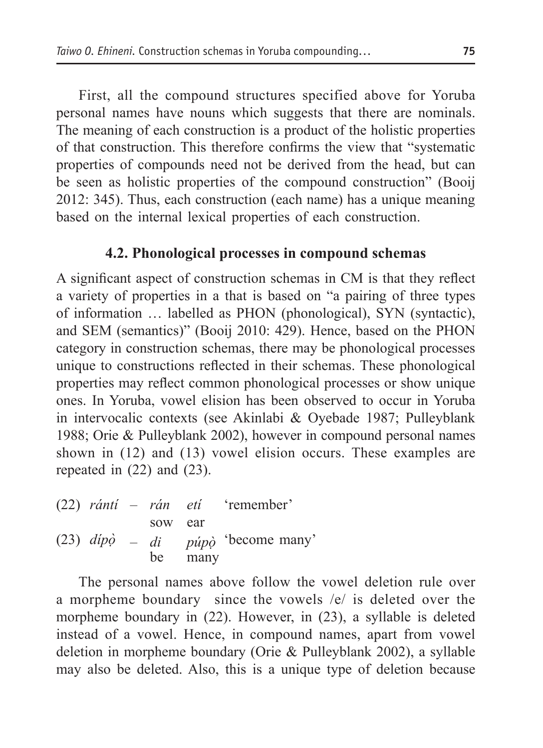First, all the compound structures specified above for Yoruba personal names have nouns which suggests that there are nominals. The meaning of each construction is a product of the holistic properties of that construction. This therefore confirms the view that "systematic properties of compounds need not be derived from the head, but can be seen as holistic properties of the compound construction" (Booij 2012: 345). Thus, each construction (each name) has a unique meaning based on the internal lexical properties of each construction.

### **4.2. Phonological processes in compound schemas**

A significant aspect of construction schemas in CM is that they reflect a variety of properties in a that is based on "a pairing of three types of information … labelled as PHON (phonological), SYN (syntactic), and SEM (semantics)" (Booij 2010: 429). Hence, based on the PHON category in construction schemas, there may be phonological processes unique to constructions reflected in their schemas. These phonological properties may reflect common phonological processes or show unique ones. In Yoruba, vowel elision has been observed to occur in Yoruba in intervocalic contexts (see Akinlabi & Oyebade 1987; Pulleyblank 1988; Orie & Pulleyblank 2002), however in compound personal names shown in (12) and (13) vowel elision occurs. These examples are repeated in (22) and (23).

|  |         |      | $(22)$ rántí – rán etí 'remember'                       |
|--|---------|------|---------------------------------------------------------|
|  | sow ear |      |                                                         |
|  |         |      | (23) $dip\dot{\phi} = di$ púp $\dot{\phi}$ become many' |
|  | be      | many |                                                         |

The personal names above follow the vowel deletion rule over a morpheme boundary since the vowels /e/ is deleted over the morpheme boundary in (22). However, in (23), a syllable is deleted instead of a vowel. Hence, in compound names, apart from vowel deletion in morpheme boundary (Orie & Pulleyblank 2002), a syllable may also be deleted. Also, this is a unique type of deletion because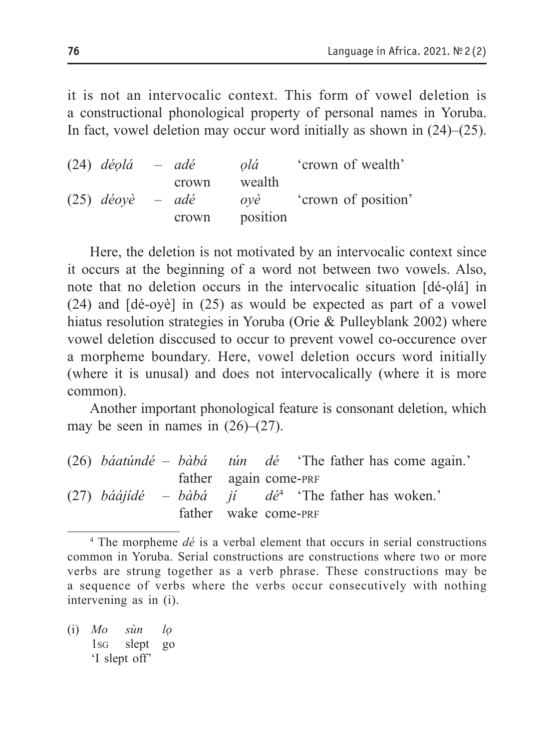it is not an intervocalic context. This form of vowel deletion is a constructional phonological property of personal names in Yoruba. In fact, vowel deletion may occur word initially as shown in (24)–(25).

| $(24)$ déolá       | – adé | olá      | crown of wealth'   |
|--------------------|-------|----------|--------------------|
|                    | crown | wealth   |                    |
| $(25)$ déoyè – adé |       | ovè      | crown of position' |
|                    | crown | position |                    |

Here, the deletion is not motivated by an intervocalic context since it occurs at the beginning of a word not between two vowels. Also, note that no deletion occurs in the intervocalic situation [dé-ọlá] in (24) and [dé-oyè] in (25) as would be expected as part of a vowel hiatus resolution strategies in Yoruba (Orie & Pulleyblank 2002) where vowel deletion disccused to occur to prevent vowel co-occurence over a morpheme boundary. Here, vowel deletion occurs word initially (where it is unusal) and does not intervocalically (where it is more common).

Another important phonological feature is consonant deletion, which may be seen in names in  $(26)$ – $(27)$ .

| $(26)$ <i>báatúndé – bàbá tún dé</i> 'The father has come again.' |                       |  |  |  |  |
|-------------------------------------------------------------------|-----------------------|--|--|--|--|
|                                                                   | father again come-PRF |  |  |  |  |
| (27) báájídé – bàbá jí dé <sup>4</sup> 'The father has woken.'    |                       |  |  |  |  |
|                                                                   | father wake come-PRF  |  |  |  |  |

<sup>4</sup> The morpheme *dé* is a verbal element that occurs in serial constructions common in Yoruba. Serial constructions are constructions where two or more verbs are strung together as a verb phrase. These constructions may be a sequence of verbs where the verbs occur consecutively with nothing intervening as in (i).

(i) *Mo sùn lọ* 1sg slept go 'I slept off'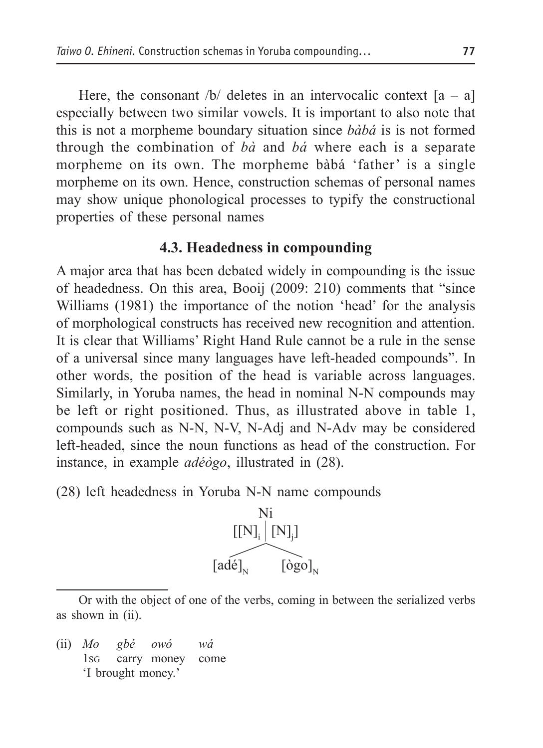Here, the consonant  $\sqrt{b}$  deletes in an intervocalic context  $[a - a]$ especially between two similar vowels. It is important to also note that this is not a morpheme boundary situation since *bàbá* is is not formed through the combination of *bà* and *bá* where each is a separate morpheme on its own. The morpheme bàbá 'father' is a single morpheme on its own. Hence, construction schemas of personal names may show unique phonological processes to typify the constructional properties of these personal names

### **4.3. Headedness in compounding**

A major area that has been debated widely in compounding is the issue of headedness. On this area, Booij (2009: 210) comments that "since Williams (1981) the importance of the notion 'head' for the analysis of morphological constructs has received new recognition and attention. It is clear that Williams' Right Hand Rule cannot be a rule in the sense of a universal since many languages have left-headed compounds". In other words, the position of the head is variable across languages. Similarly, in Yoruba names, the head in nominal N-N compounds may be left or right positioned. Thus, as illustrated above in table 1, compounds such as N-N, N-V, N-Adj and N-Adv may be considered left-headed, since the noun functions as head of the construction. For instance, in example *adéògo*, illustrated in (28).

(28) left headedness in Yoruba N-N name compounds



Or with the object of one of the verbs, coming in between the serialized verbs as shown in (ii).

(ii) *Mo gbé owó wá* 1sg carry money come 'I brought money.'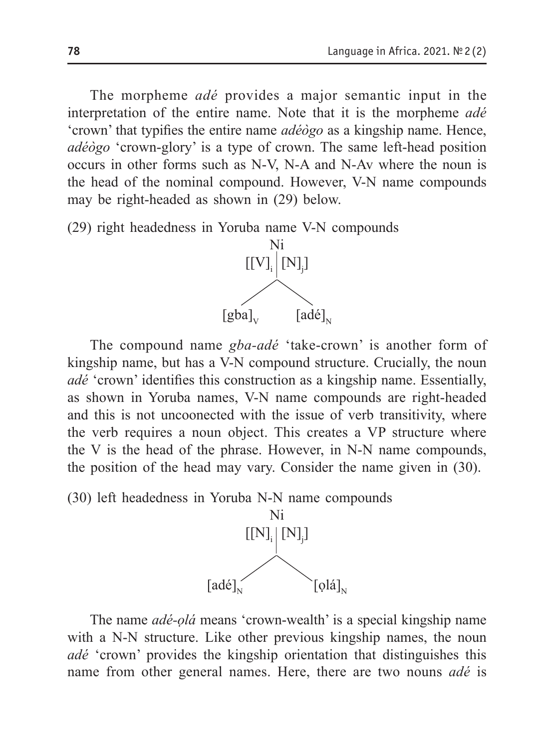The morpheme *adé* provides a major semantic input in the interpretation of the entire name. Note that it is the morpheme *adé*  'crown' that typifies the entire name *adéògo* as a kingship name. Hence, *adéògo* 'crown-glory' is a type of crown. The same left-head position occurs in other forms such as N-V, N-A and N-Av where the noun is the head of the nominal compound. However, V-N name compounds may be right-headed as shown in (29) below.

(29) right headedness in Yoruba name V-N compounds



The compound name *gba-adé* 'take-crown' is another form of kingship name, but has a V-N compound structure. Crucially, the noun *adé* 'crown' identifies this construction as a kingship name. Essentially, as shown in Yoruba names, V-N name compounds are right-headed and this is not uncoonected with the issue of verb transitivity, where the verb requires a noun object. This creates a VP structure where the V is the head of the phrase. However, in N-N name compounds, the position of the head may vary. Consider the name given in (30).

(30) left headedness in Yoruba N-N name compounds



The name *adé-ọlá* means 'crown-wealth' is a special kingship name with a N-N structure. Like other previous kingship names, the noun *adé* 'crown' provides the kingship orientation that distinguishes this name from other general names. Here, there are two nouns *adé* is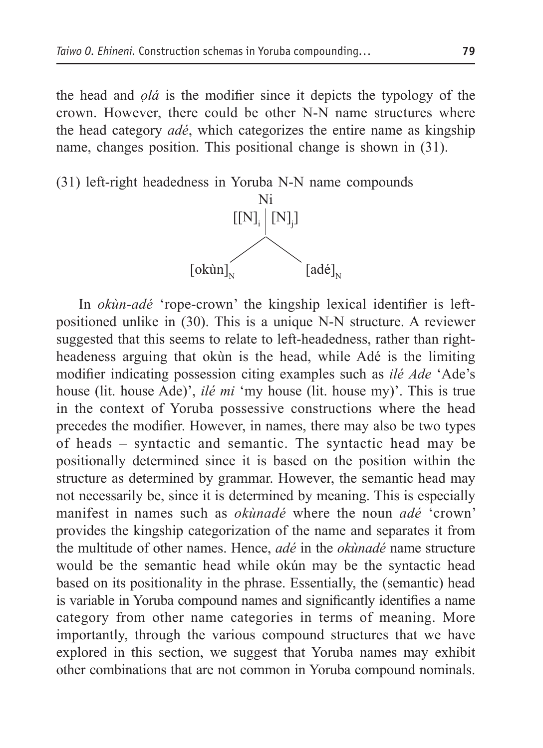the head and *ọlá* is the modifier since it depicts the typology of the crown. However, there could be other N-N name structures where the head category *adé*, which categorizes the entire name as kingship name, changes position. This positional change is shown in (31).



In *okùn-adé* 'rope-crown' the kingship lexical identifier is leftpositioned unlike in (30). This is a unique N-N structure. A reviewer suggested that this seems to relate to left-headedness, rather than rightheadeness arguing that okùn is the head, while Adé is the limiting modifier indicating possession citing examples such as *ilé Ade* 'Ade's house (lit. house Ade)', *ilé mi* 'my house (lit. house my)'. This is true in the context of Yoruba possessive constructions where the head precedes the modifier. However, in names, there may also be two types of heads – syntactic and semantic. The syntactic head may be positionally determined since it is based on the position within the structure as determined by grammar. However, the semantic head may not necessarily be, since it is determined by meaning. This is especially manifest in names such as *okùnadé* where the noun *adé* 'crown' provides the kingship categorization of the name and separates it from the multitude of other names. Hence, *adé* in the *okùnadé* name structure would be the semantic head while okún may be the syntactic head based on its positionality in the phrase. Essentially, the (semantic) head is variable in Yoruba compound names and significantly identifies a name category from other name categories in terms of meaning. More importantly, through the various compound structures that we have explored in this section, we suggest that Yoruba names may exhibit other combinations that are not common in Yoruba compound nominals.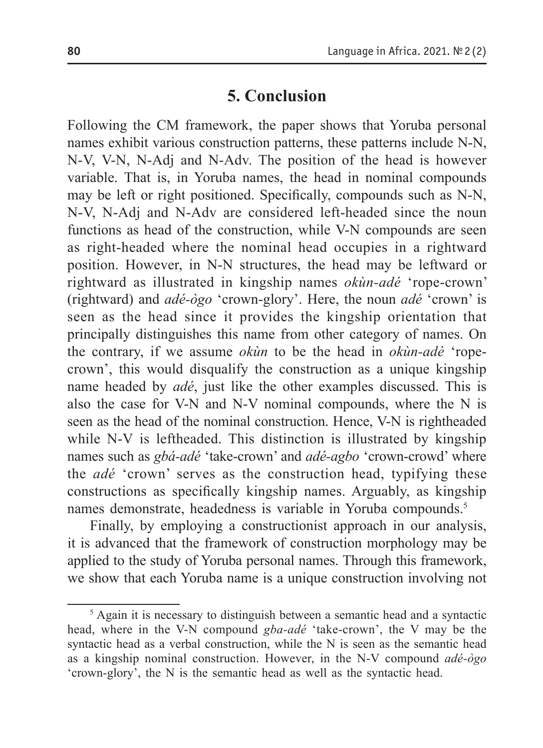## **5. Conclusion**

Following the CM framework, the paper shows that Yoruba personal names exhibit various construction patterns, these patterns include N-N, N-V, V-N, N-Adj and N-Adv. The position of the head is however variable. That is, in Yoruba names, the head in nominal compounds may be left or right positioned. Specifically, compounds such as N-N, N-V, N-Adj and N-Adv are considered left-headed since the noun functions as head of the construction, while V-N compounds are seen as right-headed where the nominal head occupies in a rightward position. However, in N-N structures, the head may be leftward or rightward as illustrated in kingship names *okùn-adé* 'rope-crown' (rightward) and *adé-ògo* 'crown-glory'. Here, the noun *adé* 'crown' is seen as the head since it provides the kingship orientation that principally distinguishes this name from other category of names. On the contrary, if we assume *okùn* to be the head in *okùn-adé* 'ropecrown', this would disqualify the construction as a unique kingship name headed by *adé*, just like the other examples discussed. This is also the case for V-N and N-V nominal compounds, where the N is seen as the head of the nominal construction. Hence, V-N is rightheaded while N-V is leftheaded. This distinction is illustrated by kingship names such as *gbá-adé* 'take-crown' and *adé-agbo* 'crown-crowd' where the *adé* 'crown' serves as the construction head, typifying these constructions as specifically kingship names. Arguably, as kingship names demonstrate, headedness is variable in Yoruba compounds.5

Finally, by employing a constructionist approach in our analysis, it is advanced that the framework of construction morphology may be applied to the study of Yoruba personal names. Through this framework, we show that each Yoruba name is a unique construction involving not

<sup>&</sup>lt;sup>5</sup> Again it is necessary to distinguish between a semantic head and a syntactic head, where in the V-N compound *gba-adé* 'take-crown', the V may be the syntactic head as a verbal construction, while the N is seen as the semantic head as a kingship nominal construction. However, in the N-V compound *adé-ògo* 'crown-glory', the N is the semantic head as well as the syntactic head.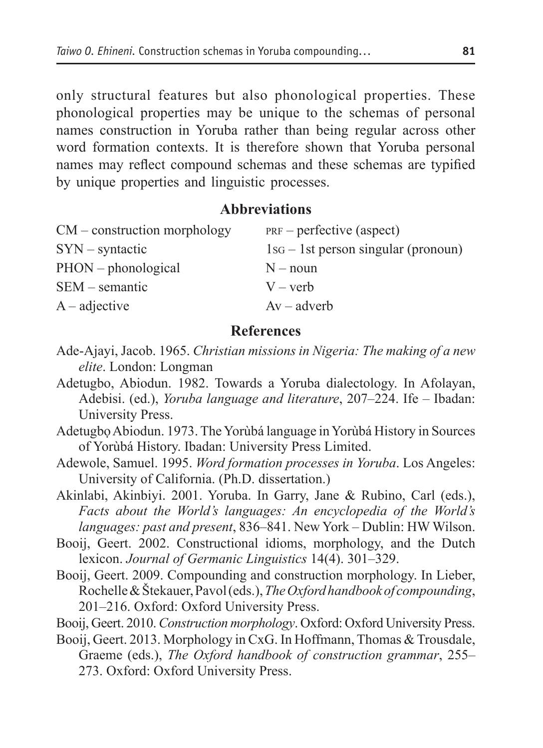only structural features but also phonological properties. These phonological properties may be unique to the schemas of personal names construction in Yoruba rather than being regular across other word formation contexts. It is therefore shown that Yoruba personal names may reflect compound schemas and these schemas are typified by unique properties and linguistic processes.

#### **Abbreviations**

| $PRF$ – perfective (aspect)           |
|---------------------------------------|
| $1SG - 1st$ person singular (pronoun) |
| $N - noun$                            |
| $V - verb$                            |
| $Av - adverb$                         |
|                                       |

#### **References**

- Ade-Ajayi, Jacob. 1965. *Christian missions in Nigeria: The making of a new elite*. London: Longman
- Adetugbo, Abiodun. 1982. Towards a Yoruba dialectology. In Afolayan, Adebisi. (ed.), *Yoruba language and literature*, 207–224. Ife – Ibadan: University Press.
- Adetugbọ Abiodun. 1973. The Yorùbá language in Yorùbá History in Sources of Yorùbá History. Ibadan: University Press Limited.
- Adewole, Samuel. 1995. *Word formation processes in Yoruba*. Los Angeles: University of California. (Ph.D. dissertation.)

Akinlabi, Akinbiyi. 2001. Yoruba. In Garry, Jane & Rubino, Carl (eds.), *Facts about the World's languages: An encyclopedia of the World's languages: past and present*, 836–841. New York – Dublin: HW Wilson.

- Booij, Geert. 2002. Constructional idioms, morphology, and the Dutch lexicon. *Journal of Germanic Linguistics* 14(4). 301–329.
- Booij, Geert. 2009. Compounding and construction morphology. In Lieber, Rochelle & Štekauer, Pavol (eds.), *The Oxford handbook of compounding*, 201–216. Oxford: Oxford University Press.
- Booij, Geert. 2010. *Construction morphology*. Oxford: Oxford University Press.
- Booij, Geert. 2013. Morphology in CxG. In Hoffmann, Thomas & Trousdale, Graeme (eds.), *The Oxford handbook of construction grammar*, 255– 273. Oxford: Oxford University Press.